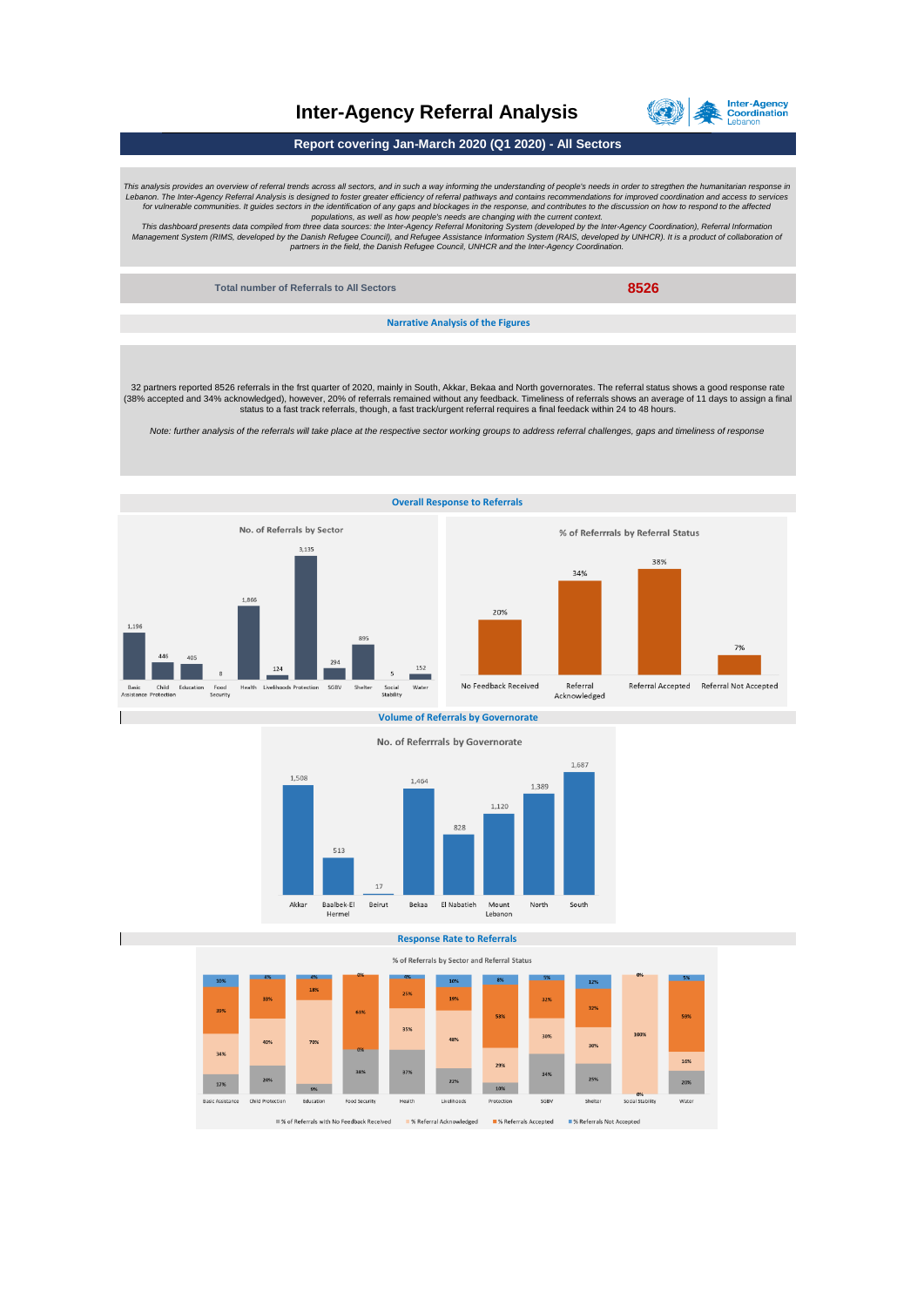

## **Inter-Agency Referral Analysis**

**Report covering Jan-March 2020 (Q1 2020) - All Sectors**

This analysis provides an overview of referral trends across all sectors, and in such a way informing the understanding of people's needs in order to stregthen the humanitarian response in<br>
Lebanon. The Inter-Agency Cefera

**Total number of Referrals to All Sectors 8526**

**Narrative Analysis of the Figures**

32 partners reported 8526 referrals in the frst quarter of 2020, mainly in South, Akkar, Bekaa and North governorates. The referral status shows a good response rate<br>(38% accepted and 34% acknowledged), however, 20% of ref status to a fast track referrals, though, a fast track/urgent referral requires a final feedack within 24 to 48 hours.

*Note: further analysis of the referrals will take place at the respective sector working groups to address referral challenges, gaps and timeliness of response*



**Volume of Referrals by Governorate**